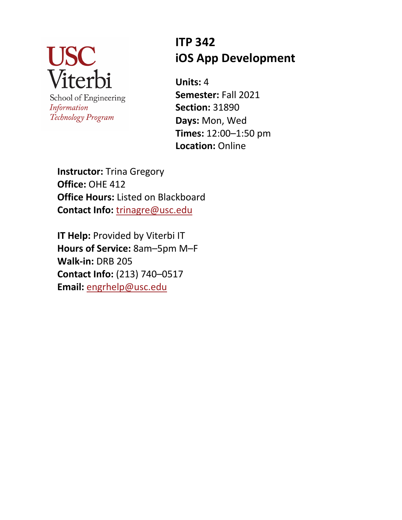

School of Engineering Information Technology Program

# **ITP 342 iOS App Development**

**Units:** 4 **Semester:** Fall 2021 **Section:** 31890 **Days:** Mon, Wed **Times:** 12:00–1:50 pm **Location:** Online

**Instructor:** Trina Gregory **Office:** OHE 412 **Office Hours:** Listed on Blackboard **Contact Info:** trinagre@usc.edu

**IT Help:** Provided by Viterbi IT **Hours of Service:** 8am–5pm M–F **Walk-in:** DRB 205 **Contact Info:** (213) 740–0517 **Email:** engrhelp@usc.edu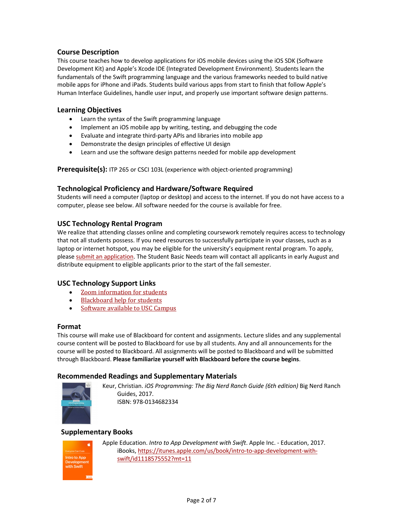## **Course Description**

This course teaches how to develop applications for iOS mobile devices using the iOS SDK (Software Development Kit) and Apple's Xcode IDE (Integrated Development Environment). Students learn the fundamentals of the Swift programming language and the various frameworks needed to build native mobile apps for iPhone and iPads. Students build various apps from start to finish that follow Apple's Human Interface Guidelines, handle user input, and properly use important software design patterns.

#### **Learning Objectives**

- Learn the syntax of the Swift programming language
- Implement an iOS mobile app by writing, testing, and debugging the code
- Evaluate and integrate third-party APIs and libraries into mobile app
- Demonstrate the design principles of effective UI design
- Learn and use the software design patterns needed for mobile app development

Prerequisite(s): ITP 265 or CSCI 103L (experience with object-oriented programming)

#### **Technological Proficiency and Hardware/Software Required**

Students will need a computer (laptop or desktop) and access to the internet. If you do not have access to a computer, please see below. All software needed for the course is available for free.

## **USC Technology Rental Program**

We realize that attending classes online and completing coursework remotely requires access to technology that not all students possess. If you need resources to successfully participate in your classes, such as a laptop or internet hotspot, you may be eligible for the university's equipment rental program. To apply, please submit an application. The Student Basic Needs team will contact all applicants in early August and distribute equipment to eligible applicants prior to the start of the fall semester.

#### **USC Technology Support Links**

- Zoom information for students
- **Blackboard help for students**
- Software available to USC Campus

#### **Format**

This course will make use of Blackboard for content and assignments. Lecture slides and any supplemental course content will be posted to Blackboard for use by all students. Any and all announcements for the course will be posted to Blackboard. All assignments will be posted to Blackboard and will be submitted through Blackboard. **Please familiarize yourself with Blackboard before the course begins**.

## **Recommended Readings and Supplementary Materials**



Keur, Christian. *iOS Programming: The Big Nerd Ranch Guide (6th edition)* Big Nerd Ranch Guides, 2017. ISBN: 978-0134682334

## **Supplementary Books**



Apple Education. *Intro to App Development with Swift*. Apple Inc. - Education, 2017. iBooks, https://itunes.apple.com/us/book/intro-to-app-development-withswift/id1118575552?mt=11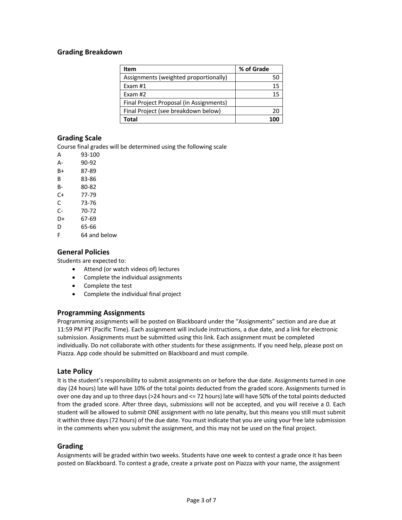## **Grading Breakdown**

| Item                                    | % of Grade |
|-----------------------------------------|------------|
| Assignments (weighted proportionally)   |            |
| Exam #1                                 | 15         |
| Exam #2                                 | 15         |
| Final Project Proposal (in Assignments) |            |
| Final Project (see breakdown below)     | 20         |
| Total                                   |            |

## **Grading Scale**

Course final grades will be determined using the following scale

- A 93-100
- A- 90-92
- B+ 87-89
- B 83-86
- B- 80-82
- C+ 77-79
- C 73-76
- C- 70-72
- D+ 67-69
- D 65-66
- F 64 and below

## **General Policies**

Students are expected to:

- Attend (or watch videos of) lectures
- Complete the individual assignments
- Complete the test
- Complete the individual final project

## **Programming Assignments**

Programming assignments will be posted on Blackboard under the "Assignments" section and are due at 11:59 PM PT (Pacific Time). Each assignment will include instructions, a due date, and a link for electronic submission. Assignments must be submitted using this link. Each assignment must be completed individually. Do not collaborate with other students for these assignments. If you need help, please post on Piazza. App code should be submitted on Blackboard and must compile.

#### **Late Policy**

It is the student's responsibility to submit assignments on or before the due date. Assignments turned in one day (24 hours) late will have 10% of the total points deducted from the graded score. Assignments turned in over one day and up to three days (>24 hours and <= 72 hours) late will have 50% of the total points deducted from the graded score. After three days, submissions will not be accepted, and you will receive a 0. Each student will be allowed to submit ONE assignment with no late penalty, but this means you still must submit it within three days (72 hours) of the due date. You must indicate that you are using your free late submission in the comments when you submit the assignment, and this may not be used on the final project.

#### **Grading**

Assignments will be graded within two weeks. Students have one week to contest a grade once it has been posted on Blackboard. To contest a grade, create a private post on Piazza with your name, the assignment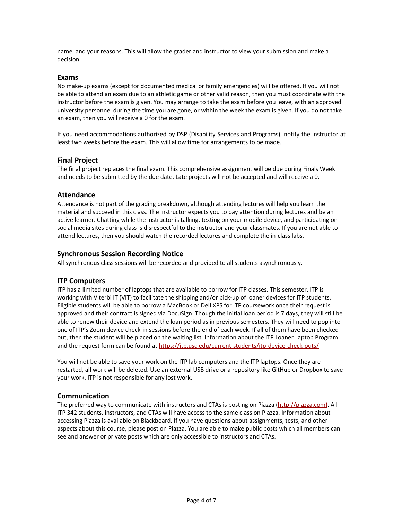name, and your reasons. This will allow the grader and instructor to view your submission and make a decision.

#### **Exams**

No make-up exams (except for documented medical or family emergencies) will be offered. If you will not be able to attend an exam due to an athletic game or other valid reason, then you must coordinate with the instructor before the exam is given. You may arrange to take the exam before you leave, with an approved university personnel during the time you are gone, or within the week the exam is given. If you do not take an exam, then you will receive a 0 for the exam.

If you need accommodations authorized by DSP (Disability Services and Programs), notify the instructor at least two weeks before the exam. This will allow time for arrangements to be made.

## **Final Project**

The final project replaces the final exam. This comprehensive assignment will be due during Finals Week and needs to be submitted by the due date. Late projects will not be accepted and will receive a 0.

#### **Attendance**

Attendance is not part of the grading breakdown, although attending lectures will help you learn the material and succeed in this class. The instructor expects you to pay attention during lectures and be an active learner. Chatting while the instructor is talking, texting on your mobile device, and participating on social media sites during class is disrespectful to the instructor and your classmates. If you are not able to attend lectures, then you should watch the recorded lectures and complete the in-class labs.

## **Synchronous Session Recording Notice**

All synchronous class sessions will be recorded and provided to all students asynchronously.

#### **ITP Computers**

ITP has a limited number of laptops that are available to borrow for ITP classes. This semester, ITP is working with Viterbi IT (VIT) to facilitate the shipping and/or pick-up of loaner devices for ITP students. Eligible students will be able to borrow a MacBook or Dell XPS for ITP coursework once their request is approved and their contract is signed via DocuSign. Though the initial loan period is 7 days, they will still be able to renew their device and extend the loan period as in previous semesters. They will need to pop into one of ITP's Zoom device check-in sessions before the end of each week. If all of them have been checked out, then the student will be placed on the waiting list. Information about the ITP Loaner Laptop Program and the request form can be found at https://itp.usc.edu/current-students/itp-device-check-outs/

You will not be able to save your work on the ITP lab computers and the ITP laptops. Once they are restarted, all work will be deleted. Use an external USB drive or a repository like GitHub or Dropbox to save your work. ITP is not responsible for any lost work.

## **Communication**

The preferred way to communicate with instructors and CTAs is posting on Piazza (http://piazza.com). All ITP 342 students, instructors, and CTAs will have access to the same class on Piazza. Information about accessing Piazza is available on Blackboard. If you have questions about assignments, tests, and other aspects about this course, please post on Piazza. You are able to make public posts which all members can see and answer or private posts which are only accessible to instructors and CTAs.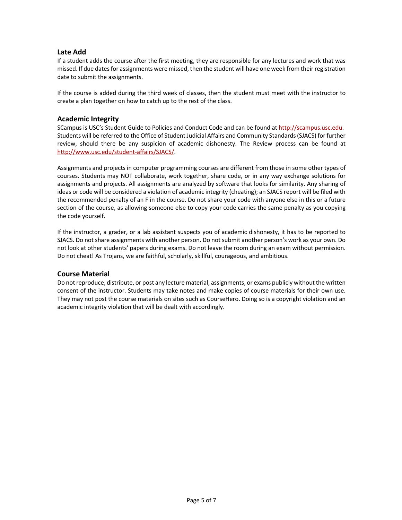## **Late Add**

If a student adds the course after the first meeting, they are responsible for any lectures and work that was missed. If due dates for assignments were missed, then the student will have one week from their registration date to submit the assignments.

If the course is added during the third week of classes, then the student must meet with the instructor to create a plan together on how to catch up to the rest of the class.

## **Academic Integrity**

SCampus is USC's Student Guide to Policies and Conduct Code and can be found at http://scampus.usc.edu. Students will be referred to the Office of Student Judicial Affairs and Community Standards (SJACS) for further review, should there be any suspicion of academic dishonesty. The Review process can be found at http://www.usc.edu/student-affairs/SJACS/.

Assignments and projects in computer programming courses are different from those in some other types of courses. Students may NOT collaborate, work together, share code, or in any way exchange solutions for assignments and projects. All assignments are analyzed by software that looks for similarity. Any sharing of ideas or code will be considered a violation of academic integrity (cheating); an SJACS report will be filed with the recommended penalty of an F in the course. Do not share your code with anyone else in this or a future section of the course, as allowing someone else to copy your code carries the same penalty as you copying the code yourself.

If the instructor, a grader, or a lab assistant suspects you of academic dishonesty, it has to be reported to SJACS. Do not share assignments with another person. Do not submit another person's work as your own. Do not look at other students' papers during exams. Do not leave the room during an exam without permission. Do not cheat! As Trojans, we are faithful, scholarly, skillful, courageous, and ambitious.

## **Course Material**

Do not reproduce, distribute, or post any lecture material, assignments, or exams publicly without the written consent of the instructor. Students may take notes and make copies of course materials for their own use. They may not post the course materials on sites such as CourseHero. Doing so is a copyright violation and an academic integrity violation that will be dealt with accordingly.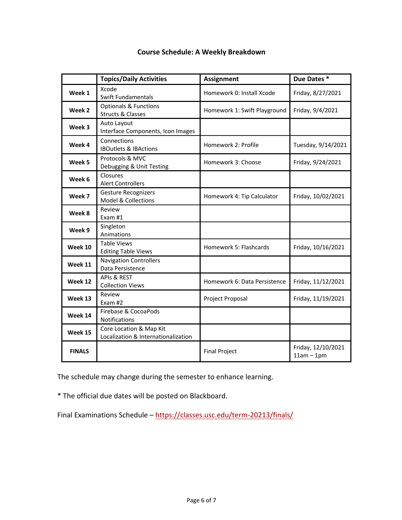|               | <b>Topics/Daily Activities</b>                                   | <b>Assignment</b>            | Due Dates*                         |
|---------------|------------------------------------------------------------------|------------------------------|------------------------------------|
| Week 1        | Xcode<br><b>Swift Fundamentals</b>                               | Homework 0: Install Xcode    | Friday, 8/27/2021                  |
| Week 2        | <b>Optionals &amp; Functions</b><br><b>Structs &amp; Classes</b> | Homework 1: Swift Playground | Friday, 9/4/2021                   |
| Week 3        | Auto Layout<br>Interface Components, Icon Images                 |                              |                                    |
| Week 4        | Connections<br><b>IBOutlets &amp; IBActions</b>                  | Homework 2: Profile          | Tuesday, 9/14/2021                 |
| Week 5        | Protocols & MVC<br>Debugging & Unit Testing                      | Homework 3: Choose           | Friday, 9/24/2021                  |
| Week 6        | Closures<br><b>Alert Controllers</b>                             |                              |                                    |
| Week 7        | <b>Gesture Recognizers</b><br><b>Model &amp; Collections</b>     | Homework 4: Tip Calculator   | Friday, 10/02/2021                 |
| Week 8        | Review<br>Exam #1                                                |                              |                                    |
| Week 9        | Singleton<br>Animations                                          |                              |                                    |
| Week 10       | <b>Table Views</b><br><b>Editing Table Views</b>                 | Homework 5: Flashcards       | Friday, 10/16/2021                 |
| Week 11       | <b>Navigation Controllers</b><br>Data Persistence                |                              |                                    |
| Week 12       | <b>APIS &amp; REST</b><br><b>Collection Views</b>                | Homework 6: Data Persistence | Friday, 11/12/2021                 |
| Week 13       | Review<br>Exam #2                                                | Project Proposal             | Friday, 11/19/2021                 |
| Week 14       | Firebase & CocoaPods<br>Notifications                            |                              |                                    |
| Week 15       | Core Location & Map Kit<br>Localization & Internationalization   |                              |                                    |
| <b>FINALS</b> |                                                                  | <b>Final Project</b>         | Friday, 12/10/2021<br>$11am - 1pm$ |

## **Course Schedule: A Weekly Breakdown**

The schedule may change during the semester to enhance learning.

\* The official due dates will be posted on Blackboard.

Final Examinations Schedule – https://classes.usc.edu/term-20213/finals/